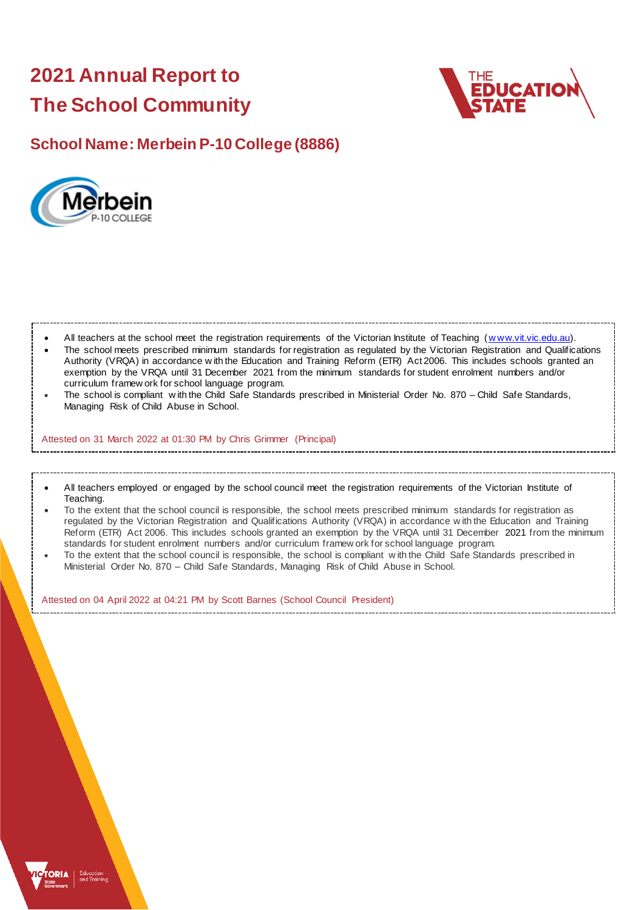# **2021 Annual Report to The School Community**



## **School Name: Merbein P-10 College (8886)**



All teachers at the school meet the registration requirements of the Victorian Institute of Teaching (www.vit.vic.edu.au).

- The school meets prescribed minimum standards for registration as regulated by the Victorian Registration and Qualifications Authority (VRQA) in accordance w ith the Education and Training Reform (ETR) Act 2006. This includes schools granted an exemption by the VRQA until 31 December 2021 from the minimum standards for student enrolment numbers and/or curriculum framew ork for school language program.
- The school is compliant w ith the Child Safe Standards prescribed in Ministerial Order No. 870 Child Safe Standards, Managing Risk of Child Abuse in School.

Attested on 31 March 2022 at 01:30 PM by Chris Grimmer (Principal)

- All teachers employed or engaged by the school council meet the registration requirements of the Victorian Institute of Teaching.
- To the extent that the school council is responsible, the school meets prescribed minimum standards for registration as regulated by the Victorian Registration and Qualifications Authority (VRQA) in accordance w ith the Education and Training Reform (ETR) Act 2006. This includes schools granted an exemption by the VRQA until 31 December 2021 from the minimum standards for student enrolment numbers and/or curriculum framew ork for school language program.
- To the extent that the school council is responsible, the school is compliant w ith the Child Safe Standards prescribed in Ministerial Order No. 870 – Child Safe Standards, Managing Risk of Child Abuse in School.

Attested on 04 April 2022 at 04:21 PM by Scott Barnes (School Council President)

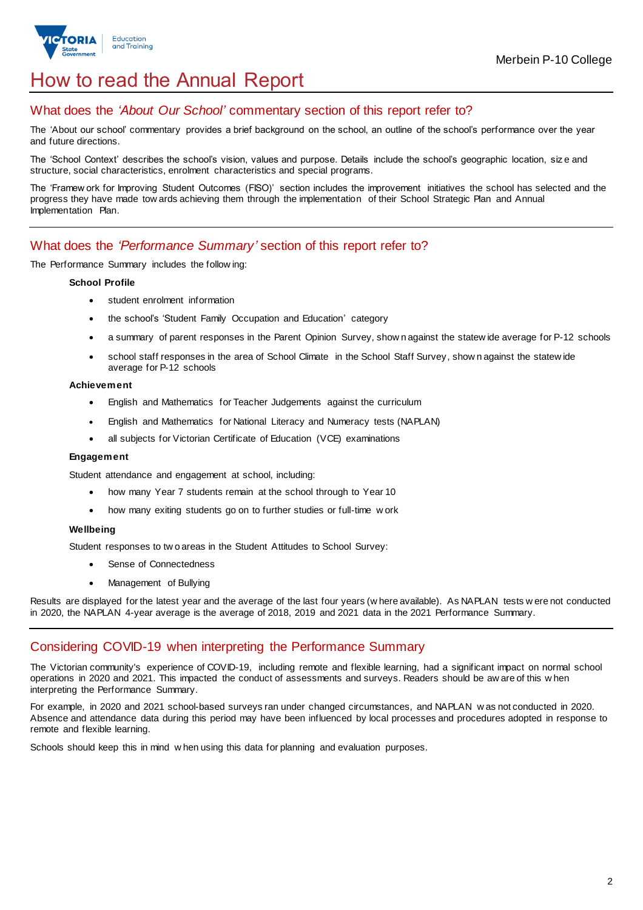

## How to read the Annual Report

## What does the *'About Our School'* commentary section of this report refer to?

The 'About our school' commentary provides a brief background on the school, an outline of the school's performance over the year and future directions.

The 'School Context' describes the school's vision, values and purpose. Details include the school's geographic location, siz e and structure, social characteristics, enrolment characteristics and special programs.

The 'Framew ork for Improving Student Outcomes (FISO)' section includes the improvement initiatives the school has selected and the progress they have made tow ards achieving them through the implementation of their School Strategic Plan and Annual Implementation Plan.

## What does the *'Performance Summary'* section of this report refer to?

The Performance Summary includes the follow ing:

#### **School Profile**

- student enrolment information
- the school's 'Student Family Occupation and Education' category
- a summary of parent responses in the Parent Opinion Survey, show n against the statew ide average for P-12 schools
- school staff responses in the area of School Climate in the School Staff Survey, show n against the statew ide average for P-12 schools

#### **Achievement**

- English and Mathematics for Teacher Judgements against the curriculum
- English and Mathematics for National Literacy and Numeracy tests (NAPLAN)
- all subjects for Victorian Certificate of Education (VCE) examinations

#### **Engagement**

Student attendance and engagement at school, including:

- how many Year 7 students remain at the school through to Year 10
- how many exiting students go on to further studies or full-time w ork

#### **Wellbeing**

Student responses to tw o areas in the Student Attitudes to School Survey:

- Sense of Connectedness
- Management of Bullying

Results are displayed for the latest year and the average of the last four years (w here available). As NAPLAN tests w ere not conducted in 2020, the NAPLAN 4-year average is the average of 2018, 2019 and 2021 data in the 2021 Performance Summary.

### Considering COVID-19 when interpreting the Performance Summary

The Victorian community's experience of COVID-19, including remote and flexible learning, had a significant impact on normal school operations in 2020 and 2021. This impacted the conduct of assessments and surveys. Readers should be aw are of this w hen interpreting the Performance Summary.

For example, in 2020 and 2021 school-based surveys ran under changed circumstances, and NAPLAN w as not conducted in 2020. Absence and attendance data during this period may have been influenced by local processes and procedures adopted in response to remote and flexible learning.

Schools should keep this in mind w hen using this data for planning and evaluation purposes.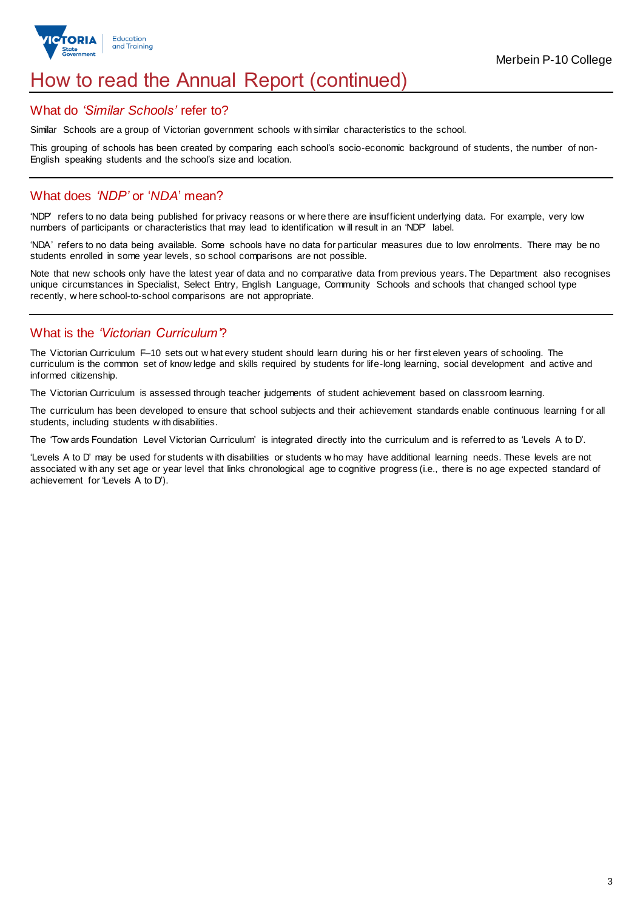

## How to read the Annual Report (continued)

#### What do *'Similar Schools'* refer to?

Similar Schools are a group of Victorian government schools w ith similar characteristics to the school.

This grouping of schools has been created by comparing each school's socio-economic background of students, the number of non-English speaking students and the school's size and location.

## What does *'NDP'* or '*NDA*' mean?

'NDP' refers to no data being published for privacy reasons or w here there are insufficient underlying data. For example, very low numbers of participants or characteristics that may lead to identification w ill result in an 'NDP' label.

'NDA' refers to no data being available. Some schools have no data for particular measures due to low enrolments. There may be no students enrolled in some year levels, so school comparisons are not possible.

Note that new schools only have the latest year of data and no comparative data from previous years. The Department also recognises unique circumstances in Specialist, Select Entry, English Language, Community Schools and schools that changed school type recently, w here school-to-school comparisons are not appropriate.

## What is the *'Victorian Curriculum'*?

The Victorian Curriculum F–10 sets out w hat every student should learn during his or her first eleven years of schooling. The curriculum is the common set of know ledge and skills required by students for life-long learning, social development and active and informed citizenship.

The Victorian Curriculum is assessed through teacher judgements of student achievement based on classroom learning.

The curriculum has been developed to ensure that school subjects and their achievement standards enable continuous learning f or all students, including students w ith disabilities.

The 'Tow ards Foundation Level Victorian Curriculum' is integrated directly into the curriculum and is referred to as 'Levels A to D'.

'Levels A to D' may be used for students w ith disabilities or students w ho may have additional learning needs. These levels are not associated w ith any set age or year level that links chronological age to cognitive progress (i.e., there is no age expected standard of achievement for 'Levels A to D').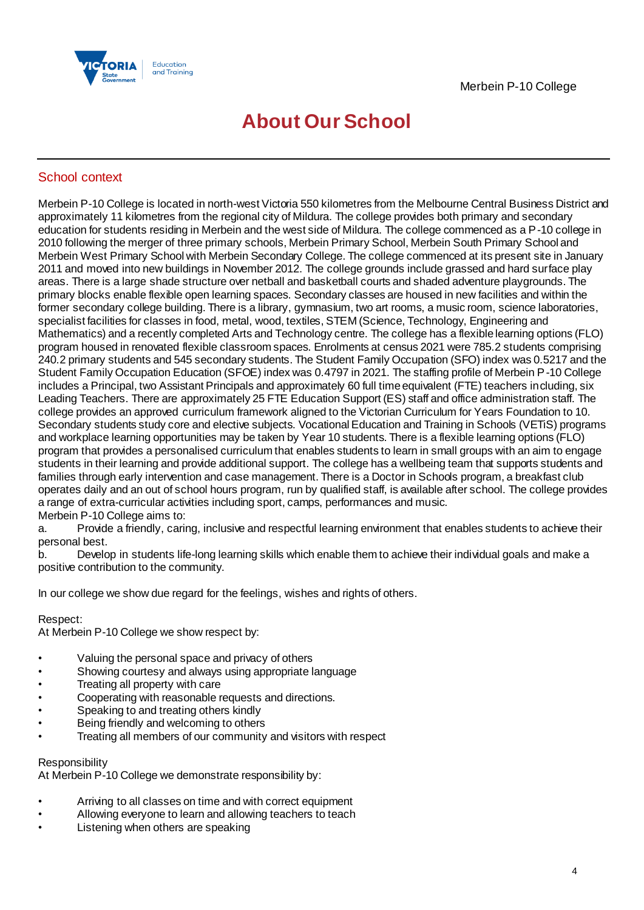

## **About Our School**

## School context

Merbein P-10 College is located in north-west Victoria 550 kilometres from the Melbourne Central Business District and approximately 11 kilometres from the regional city of Mildura. The college provides both primary and secondary education for students residing in Merbein and the west side of Mildura. The college commenced as a P-10 college in 2010 following the merger of three primary schools, Merbein Primary School, Merbein South Primary School and Merbein West Primary School with Merbein Secondary College. The college commenced at its present site in January 2011 and moved into new buildings in November 2012. The college grounds include grassed and hard surface play areas. There is a large shade structure over netball and basketball courts and shaded adventure playgrounds. The primary blocks enable flexible open learning spaces. Secondary classes are housed in new facilities and within the former secondary college building. There is a library, gymnasium, two art rooms, a music room, science laboratories, specialist facilities for classes in food, metal, wood, textiles, STEM (Science, Technology, Engineering and Mathematics) and a recently completed Arts and Technology centre. The college has a flexible learning options (FLO) program housed in renovated flexible classroom spaces. Enrolments at census 2021 were 785.2 students comprising 240.2 primary students and 545 secondary students. The Student Family Occupation (SFO) index was 0.5217 and the Student Family Occupation Education (SFOE) index was 0.4797 in 2021. The staffing profile of Merbein P-10 College includes a Principal, two Assistant Principals and approximately 60 full time equivalent (FTE) teachers including, six Leading Teachers. There are approximately 25 FTE Education Support (ES) staff and office administration staff. The college provides an approved curriculum framework aligned to the Victorian Curriculum for Years Foundation to 10. Secondary students study core and elective subjects. Vocational Education and Training in Schools (VETiS) programs and workplace learning opportunities may be taken by Year 10 students. There is a flexible learning options (FLO) program that provides a personalised curriculum that enables students to learn in small groups with an aim to engage students in their learning and provide additional support. The college has a wellbeing team that supports students and families through early intervention and case management. There is a Doctor in Schools program, a breakfast club operates daily and an out of school hours program, run by qualified staff, is available after school. The college provides a range of extra-curricular activities including sport, camps, performances and music. Merbein P-10 College aims to:

a. Provide a friendly, caring, inclusive and respectful learning environment that enables students to achieve their personal best.

b. Develop in students life-long learning skills which enable them to achieve their individual goals and make a positive contribution to the community.

In our college we show due regard for the feelings, wishes and rights of others.

#### Respect:

At Merbein P-10 College we show respect by:

- Valuing the personal space and privacy of others
- Showing courtesy and always using appropriate language
- Treating all property with care
- Cooperating with reasonable requests and directions.
- Speaking to and treating others kindly
- Being friendly and welcoming to others
- Treating all members of our community and visitors with respect

#### Responsibility

At Merbein P-10 College we demonstrate responsibility by:

- Arriving to all classes on time and with correct equipment
- Allowing everyone to learn and allowing teachers to teach
- Listening when others are speaking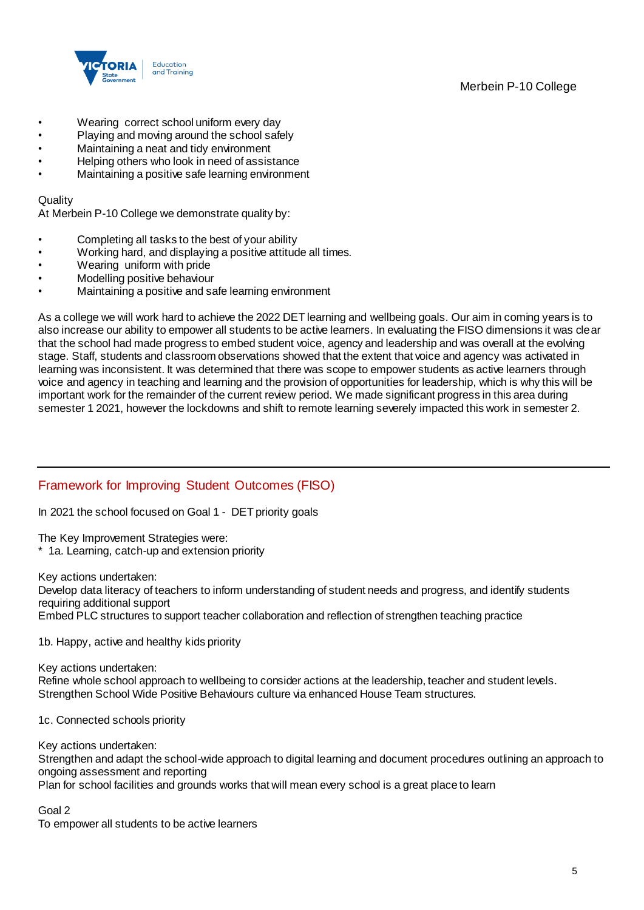## Merbein P-10 College



- Wearing correct school uniform every day
- Playing and moving around the school safely
- Maintaining a neat and tidy environment
- Helping others who look in need of assistance
- Maintaining a positive safe learning environment

#### **Quality**

At Merbein P-10 College we demonstrate quality by:

- Completing all tasks to the best of your ability
- Working hard, and displaying a positive attitude all times.
- Wearing uniform with pride
- Modelling positive behaviour
- Maintaining a positive and safe learning environment

As a college we will work hard to achieve the 2022 DET learning and wellbeing goals. Our aim in coming years is to also increase our ability to empower all students to be active learners. In evaluating the FISO dimensions it was clear that the school had made progress to embed student voice, agency and leadership and was overall at the evolving stage. Staff, students and classroom observations showed that the extent that voice and agency was activated in learning was inconsistent. It was determined that there was scope to empower students as active learners through voice and agency in teaching and learning and the provision of opportunities for leadership, which is why this will be important work for the remainder of the current review period. We made significant progress in this area during semester 1 2021, however the lockdowns and shift to remote learning severely impacted this work in semester 2.

## Framework for Improving Student Outcomes (FISO)

In 2021 the school focused on Goal 1 - DET priority goals

The Key Improvement Strategies were:

\* 1a. Learning, catch-up and extension priority

Key actions undertaken:

Develop data literacy of teachers to inform understanding of student needs and progress, and identify students requiring additional support Embed PLC structures to support teacher collaboration and reflection of strengthen teaching practice

1b. Happy, active and healthy kids priority

Key actions undertaken: Refine whole school approach to wellbeing to consider actions at the leadership, teacher and student levels. Strengthen School Wide Positive Behaviours culture via enhanced House Team structures.

1c. Connected schools priority

Key actions undertaken:

Strengthen and adapt the school-wide approach to digital learning and document procedures outlining an approach to ongoing assessment and reporting

Plan for school facilities and grounds works that will mean every school is a great place to learn

Goal 2

To empower all students to be active learners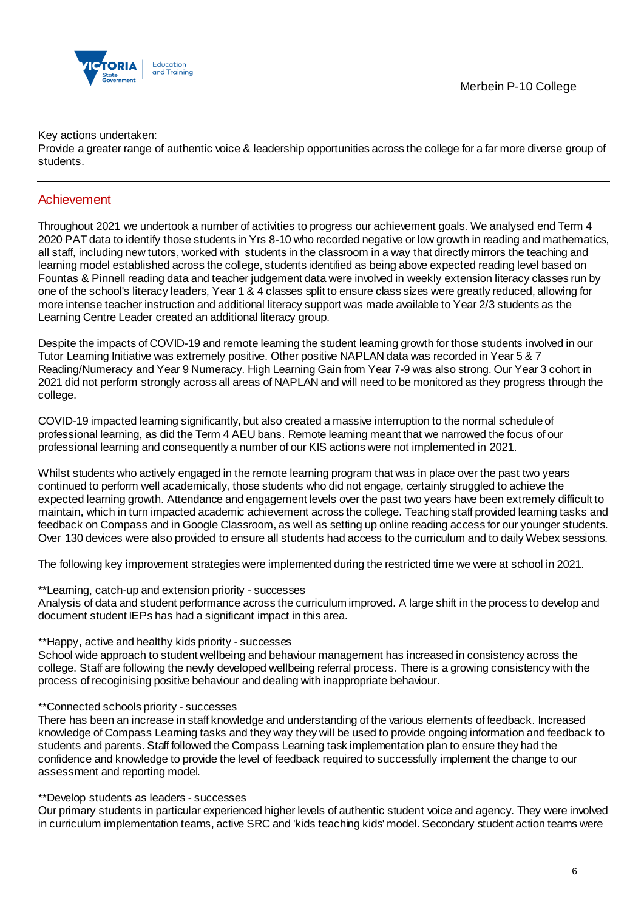

Key actions undertaken:

Provide a greater range of authentic voice & leadership opportunities across the college for a far more diverse group of students.

## Achievement

Throughout 2021 we undertook a number of activities to progress our achievement goals. We analysed end Term 4 2020 PAT data to identify those students in Yrs 8-10 who recorded negative or low growth in reading and mathematics, all staff, including new tutors, worked with students in the classroom in a way that directly mirrors the teaching and learning model established across the college, students identified as being above expected reading level based on Fountas & Pinnell reading data and teacher judgement data were involved in weekly extension literacy classes run by one of the school's literacy leaders, Year 1 & 4 classes split to ensure class sizes were greatly reduced, allowing for more intense teacher instruction and additional literacy support was made available to Year 2/3 students as the Learning Centre Leader created an additional literacy group.

Despite the impacts of COVID-19 and remote learning the student learning growth for those students involved in our Tutor Learning Initiative was extremely positive. Other positive NAPLAN data was recorded in Year 5 & 7 Reading/Numeracy and Year 9 Numeracy. High Learning Gain from Year 7-9 was also strong. Our Year 3 cohort in 2021 did not perform strongly across all areas of NAPLAN and will need to be monitored as they progress through the college.

COVID-19 impacted learning significantly, but also created a massive interruption to the normal schedule of professional learning, as did the Term 4 AEU bans. Remote learning meant that we narrowed the focus of our professional learning and consequently a number of our KIS actions were not implemented in 2021.

Whilst students who actively engaged in the remote learning program that was in place over the past two years continued to perform well academically, those students who did not engage, certainly struggled to achieve the expected learning growth. Attendance and engagement levels over the past two years have been extremely difficult to maintain, which in turn impacted academic achievement across the college. Teaching staff provided learning tasks and feedback on Compass and in Google Classroom, as well as setting up online reading access for our younger students. Over 130 devices were also provided to ensure all students had access to the curriculum and to daily Webex sessions.

The following key improvement strategies were implemented during the restricted time we were at school in 2021.

#### \*\*Learning, catch-up and extension priority - successes

Analysis of data and student performance across the curriculum improved. A large shift in the process to develop and document student IEPs has had a significant impact in this area.

#### \*\*Happy, active and healthy kids priority - successes

School wide approach to student wellbeing and behaviour management has increased in consistency across the college. Staff are following the newly developed wellbeing referral process. There is a growing consistency with the process of recoginising positive behaviour and dealing with inappropriate behaviour.

#### \*\*Connected schools priority - successes

There has been an increase in staff knowledge and understanding of the various elements of feedback. Increased knowledge of Compass Learning tasks and they way they will be used to provide ongoing information and feedback to students and parents. Staff followed the Compass Learning task implementation plan to ensure they had the confidence and knowledge to provide the level of feedback required to successfully implement the change to our assessment and reporting model.

#### \*\*Develop students as leaders - successes

Our primary students in particular experienced higher levels of authentic student voice and agency. They were involved in curriculum implementation teams, active SRC and 'kids teaching kids' model. Secondary student action teams were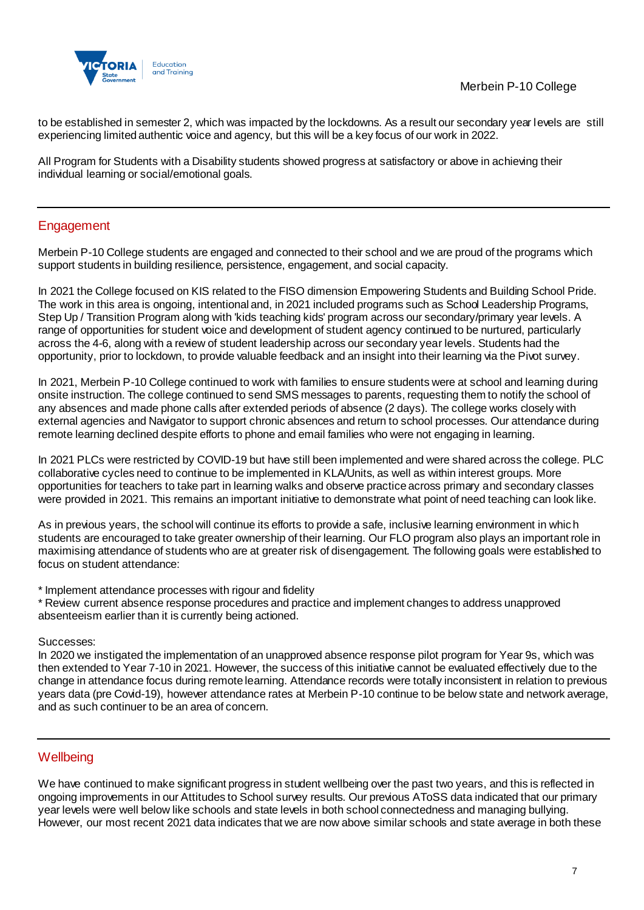



to be established in semester 2, which was impacted by the lockdowns. As a result our secondary year levels are still experiencing limited authentic voice and agency, but this will be a key focus of our work in 2022.

All Program for Students with a Disability students showed progress at satisfactory or above in achieving their individual learning or social/emotional goals.

## **Engagement**

Merbein P-10 College students are engaged and connected to their school and we are proud of the programs which support students in building resilience, persistence, engagement, and social capacity.

In 2021 the College focused on KIS related to the FISO dimension Empowering Students and Building School Pride. The work in this area is ongoing, intentional and, in 2021 included programs such as School Leadership Programs, Step Up / Transition Program along with 'kids teaching kids' program across our secondary/primary year levels. A range of opportunities for student voice and development of student agency continued to be nurtured, particularly across the 4-6, along with a review of student leadership across our secondary year levels. Students had the opportunity, prior to lockdown, to provide valuable feedback and an insight into their learning via the Pivot survey.

In 2021, Merbein P-10 College continued to work with families to ensure students were at school and learning during onsite instruction. The college continued to send SMS messages to parents, requesting them to notify the school of any absences and made phone calls after extended periods of absence (2 days). The college works closely with external agencies and Navigator to support chronic absences and return to school processes. Our attendance during remote learning declined despite efforts to phone and email families who were not engaging in learning.

In 2021 PLCs were restricted by COVID-19 but have still been implemented and were shared across the college. PLC collaborative cycles need to continue to be implemented in KLA/Units, as well as within interest groups. More opportunities for teachers to take part in learning walks and observe practice across primary and secondary classes were provided in 2021. This remains an important initiative to demonstrate what point of need teaching can look like.

As in previous years, the school will continue its efforts to provide a safe, inclusive learning environment in whic h students are encouraged to take greater ownership of their learning. Our FLO program also plays an important role in maximising attendance of students who are at greater risk of disengagement. The following goals were established to focus on student attendance:

\* Implement attendance processes with rigour and fidelity

\* Review current absence response procedures and practice and implement changes to address unapproved absenteeism earlier than it is currently being actioned.

#### Successes:

In 2020 we instigated the implementation of an unapproved absence response pilot program for Year 9s, which was then extended to Year 7-10 in 2021. However, the success of this initiative cannot be evaluated effectively due to the change in attendance focus during remote learning. Attendance records were totally inconsistent in relation to previous years data (pre Covid-19), however attendance rates at Merbein P-10 continue to be below state and network average, and as such continuer to be an area of concern.

### **Wellbeing**

We have continued to make significant progress in student wellbeing over the past two years, and this is reflected in ongoing improvements in our Attitudes to School survey results. Our previous AToSS data indicated that our primary year levels were well below like schools and state levels in both school connectedness and managing bullying. However, our most recent 2021 data indicates that we are now above similar schools and state average in both these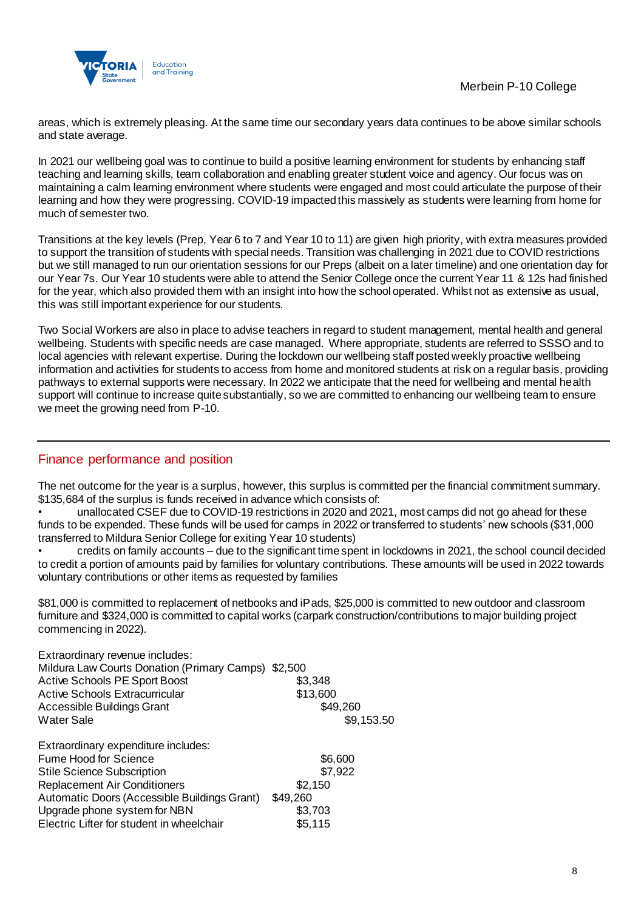

areas, which is extremely pleasing. At the same time our secondary years data continues to be above similar schools and state average.

In 2021 our wellbeing goal was to continue to build a positive learning environment for students by enhancing staff teaching and learning skills, team collaboration and enabling greater student voice and agency. Our focus was on maintaining a calm learning environment where students were engaged and most could articulate the purpose of their learning and how they were progressing. COVID-19 impacted this massively as students were learning from home for much of semester two.

Transitions at the key levels (Prep, Year 6 to 7 and Year 10 to 11) are given high priority, with extra measures provided to support the transition of students with special needs. Transition was challenging in 2021 due to COVID restrictions but we still managed to run our orientation sessions for our Preps (albeit on a later timeline) and one orientation day for our Year 7s. Our Year 10 students were able to attend the Senior College once the current Year 11 & 12s had finished for the year, which also provided them with an insight into how the school operated. Whilst not as extensive as usual, this was still important experience for our students.

Two Social Workers are also in place to advise teachers in regard to student management, mental health and general wellbeing. Students with specific needs are case managed. Where appropriate, students are referred to SSSO and to local agencies with relevant expertise. During the lockdown our wellbeing staff posted weekly proactive wellbeing information and activities for students to access from home and monitored students at risk on a regular basis, providing pathways to external supports were necessary. In 2022 we anticipate that the need for wellbeing and mental health support will continue to increase quite substantially, so we are committed to enhancing our wellbeing team to ensure we meet the growing need from P-10.

## Finance performance and position

The net outcome for the year is a surplus, however, this surplus is committed per the financial commitment summary. \$135,684 of the surplus is funds received in advance which consists of:

• unallocated CSEF due to COVID-19 restrictions in 2020 and 2021, most camps did not go ahead for these funds to be expended. These funds will be used for camps in 2022 or transferred to students' new schools (\$31,000 transferred to Mildura Senior College for exiting Year 10 students)

• credits on family accounts – due to the significant time spent in lockdowns in 2021, the school council decided to credit a portion of amounts paid by families for voluntary contributions. These amounts will be used in 2022 towards voluntary contributions or other items as requested by families

\$81,000 is committed to replacement of netbooks and iPads, \$25,000 is committed to new outdoor and classroom furniture and \$324,000 is committed to capital works (carpark construction/contributions to major building project commencing in 2022).

| Extraordinary revenue includes:<br>Mildura Law Courts Donation (Primary Camps) \$2,500 |            |
|----------------------------------------------------------------------------------------|------------|
| <b>Active Schools PE Sport Boost</b>                                                   | \$3,348    |
| <b>Active Schools Extracurricular</b>                                                  | \$13,600   |
| Accessible Buildings Grant                                                             | \$49,260   |
| <b>Water Sale</b>                                                                      | \$9,153.50 |
| Extraordinary expenditure includes:                                                    |            |
| Fume Hood for Science                                                                  | \$6,600    |
| <b>Stile Science Subscription</b>                                                      | \$7,922    |
| <b>Replacement Air Conditioners</b>                                                    | \$2,150    |
| Automatic Doors (Accessible Buildings Grant)                                           | \$49,260   |
| Upgrade phone system for NBN                                                           | \$3,703    |
| Electric Lifter for student in wheelchair                                              | \$5,115    |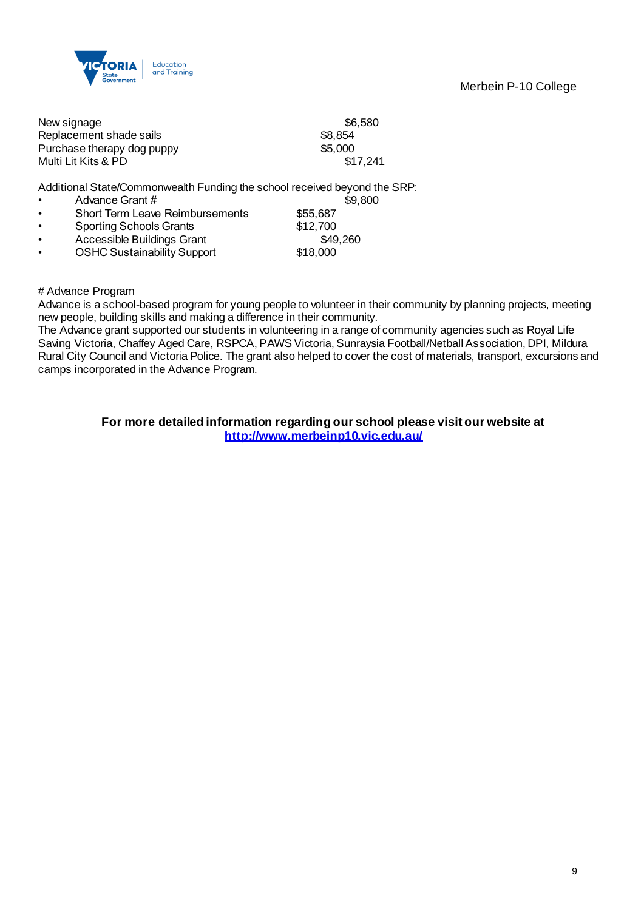

Merbein P-10 College

|           | New signage                                                               | \$6,580  |
|-----------|---------------------------------------------------------------------------|----------|
|           | Replacement shade sails                                                   | \$8,854  |
|           | Purchase therapy dog puppy                                                | \$5,000  |
|           | Multi Lit Kits & PD                                                       | \$17,241 |
|           | Additional State/Commonwealth Funding the school received beyond the SRP: |          |
|           | Advance Grant #                                                           | \$9,800  |
|           | <b>Short Term Leave Reimbursements</b>                                    | \$55,687 |
| $\bullet$ | <b>Sporting Schools Grants</b>                                            | \$12,700 |
| $\bullet$ | Accessible Buildings Grant                                                | \$49,260 |
| $\bullet$ | <b>OSHC Sustainability Support</b>                                        | \$18,000 |
|           |                                                                           |          |

# Advance Program

Advance is a school-based program for young people to volunteer in their community by planning projects, meeting new people, building skills and making a difference in their community.

The Advance grant supported our students in volunteering in a range of community agencies such as Royal Life Saving Victoria, Chaffey Aged Care, RSPCA, PAWS Victoria, Sunraysia Football/Netball Association, DPI, Mildura Rural City Council and Victoria Police. The grant also helped to cover the cost of materials, transport, excursions and camps incorporated in the Advance Program.

> **For more detailed information regarding our school please visit our website at <http://www.merbeinp10.vic.edu.au/>**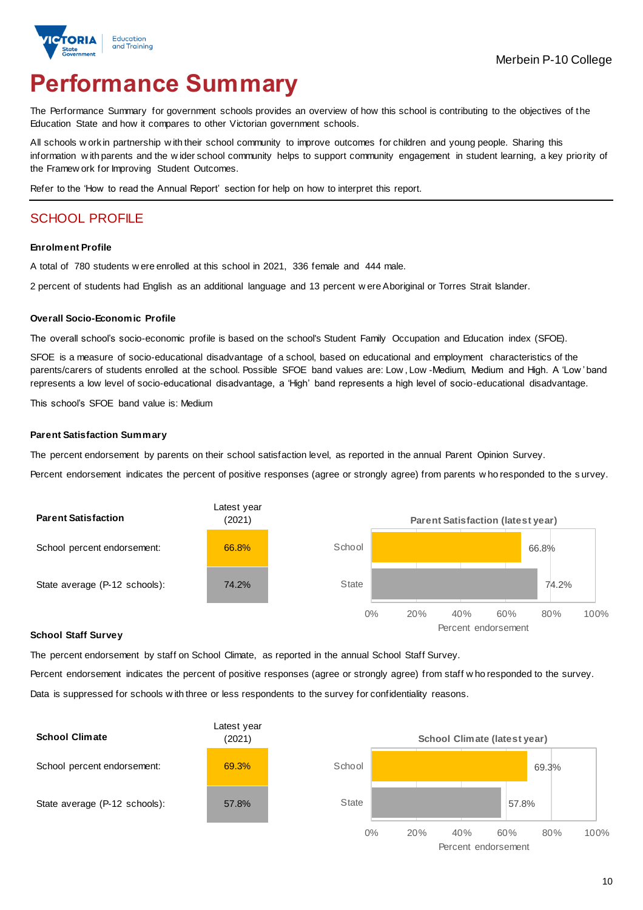

# **Performance Summary**

The Performance Summary for government schools provides an overview of how this school is contributing to the objectives of the Education State and how it compares to other Victorian government schools.

All schools w ork in partnership w ith their school community to improve outcomes for children and young people. Sharing this information w ith parents and the w ider school community helps to support community engagement in student learning, a key priority of the Framew ork for Improving Student Outcomes.

Refer to the 'How to read the Annual Report' section for help on how to interpret this report.

## SCHOOL PROFILE

#### **Enrolment Profile**

A total of 780 students w ere enrolled at this school in 2021, 336 female and 444 male.

2 percent of students had English as an additional language and 13 percent w ere Aboriginal or Torres Strait Islander.

#### **Overall Socio-Economic Profile**

The overall school's socio-economic profile is based on the school's Student Family Occupation and Education index (SFOE).

SFOE is a measure of socio-educational disadvantage of a school, based on educational and employment characteristics of the parents/carers of students enrolled at the school. Possible SFOE band values are: Low, Low -Medium, Medium and High. A 'Low' band represents a low level of socio-educational disadvantage, a 'High' band represents a high level of socio-educational disadvantage.

This school's SFOE band value is: Medium

#### **Parent Satisfaction Summary**

The percent endorsement by parents on their school satisfaction level, as reported in the annual Parent Opinion Survey.

Percent endorsement indicates the percent of positive responses (agree or strongly agree) from parents w ho responded to the s urvey.



#### **School Staff Survey**

The percent endorsement by staff on School Climate, as reported in the annual School Staff Survey.

Percent endorsement indicates the percent of positive responses (agree or strongly agree) from staff w ho responded to the survey. Data is suppressed for schools w ith three or less respondents to the survey for confidentiality reasons.

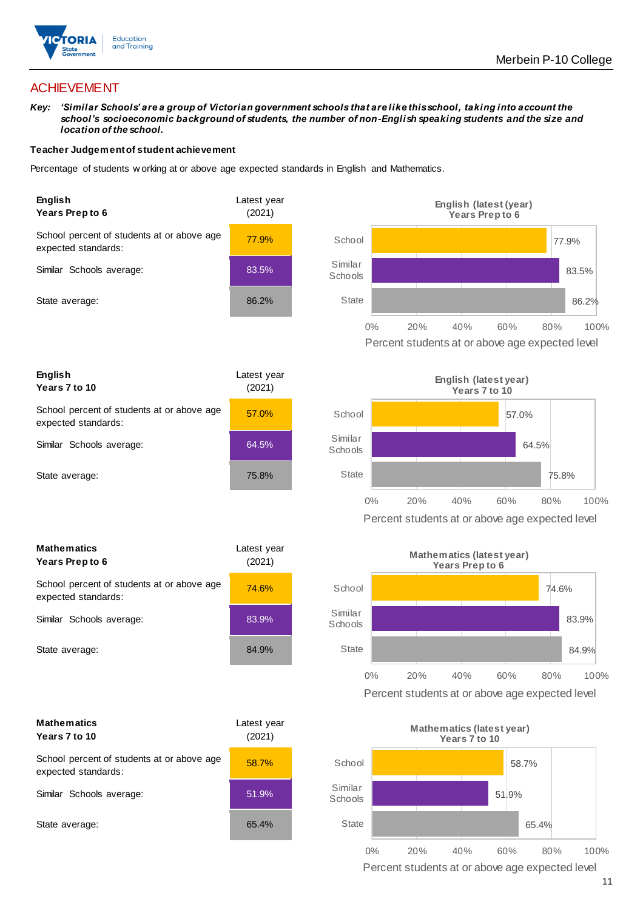

## ACHIEVEMENT

*Key: 'Similar Schools' are a group of Victorian government schools that are like this school, taking into account the school's socioeconomic background of students, the number of non-English speaking students and the size and location of the school.*

#### **Teacher Judgement of student achievement**

Percentage of students w orking at or above age expected standards in English and Mathematics.



**English Years 7 to 10** Latest year (2021) School percent of students at or above age expected standards: 57.0% Similar Schools average: 64.5% State average: 75.8%

| <b>Mathematics</b><br><b>Years Prep to 6</b>                      | Latest vear<br>(2021) |  |
|-------------------------------------------------------------------|-----------------------|--|
| School percent of students at or above age<br>expected standards: | 74.6%                 |  |
| Similar Schools average:                                          | 83.9%                 |  |
| State average:                                                    | 84.9%                 |  |

| <b>Mathematics</b><br>Years 7 to 10                               | Latest year<br>(2021) |  |
|-------------------------------------------------------------------|-----------------------|--|
| School percent of students at or above age<br>expected standards: | 58.7%                 |  |
| Similar Schools average:                                          | 51.9%                 |  |
| State average:                                                    | 65.4%                 |  |





Percent students at or above age expected level



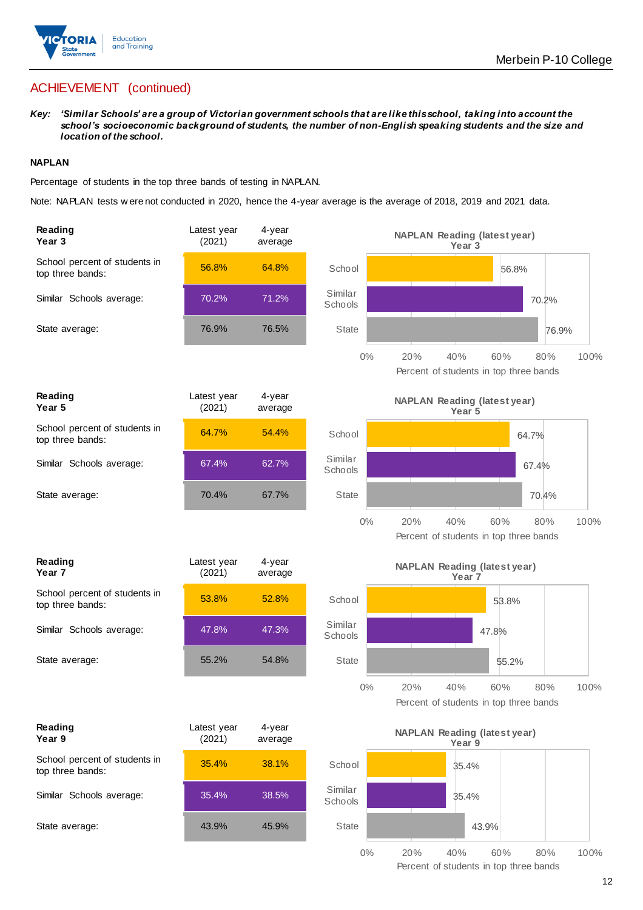

*Key: 'Similar Schools' are a group of Victorian government schools that are like this school, taking into account the school's socioeconomic background of students, the number of non-English speaking students and the size and location of the school.*

#### **NAPLAN**

Percentage of students in the top three bands of testing in NAPLAN.

Note: NAPLAN tests w ere not conducted in 2020, hence the 4-year average is the average of 2018, 2019 and 2021 data.

| Reading<br>Year 3                                 | Latest year<br>(2021) | 4-year<br>average |                    | <b>NAPLAN Reading (latest year)</b><br>Year 3                              |
|---------------------------------------------------|-----------------------|-------------------|--------------------|----------------------------------------------------------------------------|
| School percent of students in<br>top three bands: | 56.8%                 | 64.8%             | School             | 56.8%                                                                      |
| Similar Schools average:                          | 70.2%                 | 71.2%             | Similar<br>Schools | 70.2%                                                                      |
| State average:                                    | 76.9%                 | 76.5%             | <b>State</b>       | 76.9%                                                                      |
|                                                   |                       |                   | $0\%$              | 60%<br>20%<br>40%<br>80%<br>100%<br>Percent of students in top three bands |
| Reading<br>Year <sub>5</sub>                      | Latest year<br>(2021) | 4-year<br>average |                    | <b>NAPLAN Reading (latest year)</b><br>Year 5                              |
| School percent of students in<br>top three bands: | 64.7%                 | 54.4%             | School             | 64.7%                                                                      |
| Similar Schools average:                          | 67.4%                 | 62.7%             | Similar<br>Schools | 67.4%                                                                      |
| State average:                                    | 70.4%                 | 67.7%             | <b>State</b>       | 70.4%                                                                      |
|                                                   |                       |                   | $0\%$              | 20%<br>40%<br>60%<br>80%<br>100%<br>Percent of students in top three bands |
| Reading<br>Year <sub>7</sub>                      | Latest year<br>(2021) | 4-year<br>average |                    | <b>NAPLAN Reading (latest year)</b><br>Year <sub>7</sub>                   |
| School percent of students in<br>top three bands: | 53.8%                 | 52.8%             | School             | 53.8%                                                                      |
| Similar Schools average:                          | 47.8%                 | 47.3%             | Similar<br>Schools | 47.8%                                                                      |
| State average:                                    | 55.2%                 | 54.8%             | <b>State</b>       | 55.2%                                                                      |
|                                                   |                       |                   | $0\%$              | 20%<br>40%<br>60%<br>80%<br>100%<br>Percent of students in top three bands |
| Reading<br>Year 9                                 | Latest year<br>(2021) | 4-year<br>average |                    | <b>NAPLAN Reading (latest year)</b><br>Year 9                              |
| School percent of students in<br>top three bands: | 35.4%                 | 38.1%             | School             | 35.4%                                                                      |
| Similar Schools average:                          | 35.4%                 | 38.5%             | Similar<br>Schools | 35.4%                                                                      |
| State average:                                    | 43.9%                 | 45.9%             | State              | 43.9%                                                                      |
|                                                   |                       |                   | $0\%$              | 20%<br>40%<br>60%<br>80%<br>100%<br>Percent of students in top three bands |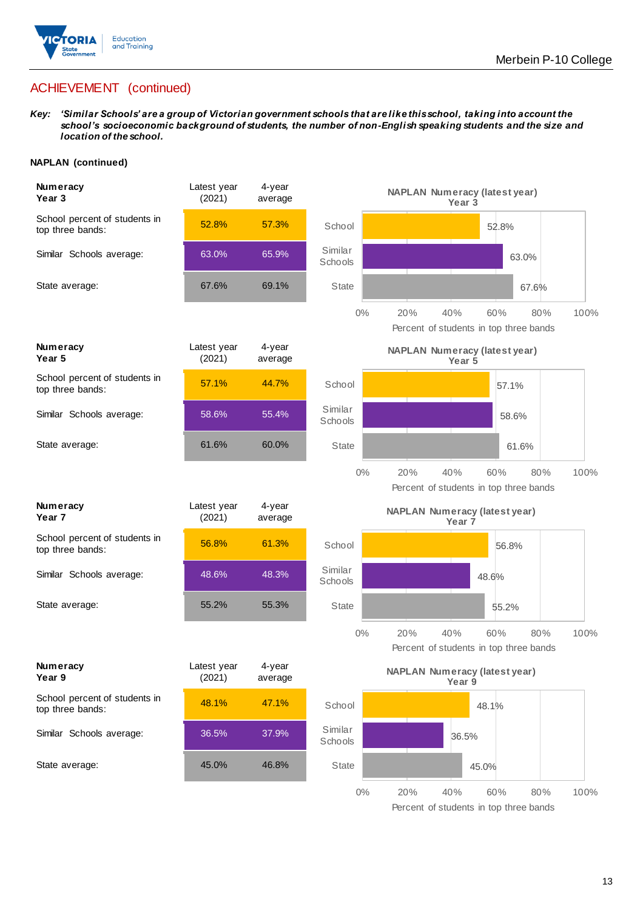

*Key: 'Similar Schools' are a group of Victorian government schools that are like this school, taking into account the school's socioeconomic background of students, the number of non-English speaking students and the size and location of the school.*

#### **NAPLAN (continued)**

| Numeracy<br>Year <sub>3</sub>                     | Latest year<br>(2021) | 4-year<br>average | <b>NAPLAN Numeracy (latest year)</b><br>Year 3                                      |
|---------------------------------------------------|-----------------------|-------------------|-------------------------------------------------------------------------------------|
| School percent of students in<br>top three bands: | 52.8%                 | 57.3%             | School<br>52.8%                                                                     |
| Similar Schools average:                          | 63.0%                 | 65.9%             | Similar<br>63.0%<br>Schools                                                         |
| State average:                                    | 67.6%                 | 69.1%             | <b>State</b><br>67.6%                                                               |
|                                                   |                       |                   | $0\%$<br>20%<br>40%<br>60%<br>100%<br>80%<br>Percent of students in top three bands |
| Numeracy<br>Year 5                                | Latest year<br>(2021) | 4-year<br>average | <b>NAPLAN Numeracy (latest year)</b><br>Year 5                                      |
| School percent of students in<br>top three bands: | 57.1%                 | 44.7%             | School<br>57.1%                                                                     |
| Similar Schools average:                          | 58.6%                 | 55.4%             | Similar<br>58.6%<br>Schools                                                         |
| State average:                                    | 61.6%                 | 60.0%             | <b>State</b><br>61.6%                                                               |
|                                                   |                       |                   | $0\%$<br>20%<br>40%<br>60%<br>80%<br>100%<br>Percent of students in top three bands |
| Numeracy<br>Year <sub>7</sub>                     | Latest year<br>(2021) | 4-year<br>average | <b>NAPLAN Numeracy (latest year)</b><br>Year 7                                      |
| School percent of students in<br>top three bands: | 56.8%                 | 61.3%             | School<br>56.8%                                                                     |
| Similar Schools average:                          | 48.6%                 | 48.3%             | Similar<br>48.6%<br>Schools                                                         |
| State average:                                    | 55.2%                 | 55.3%             | <b>State</b><br>55.2%                                                               |
|                                                   |                       |                   | $0\%$<br>20%<br>40%<br>60%<br>80%<br>100%<br>Percent of students in top three bands |
| <b>Numeracy</b><br>Year 9                         | Latest year<br>(2021) | 4-year<br>average | <b>NAPLAN Numeracy (latest year)</b><br>Year 9                                      |
| School percent of students in<br>top three bands: | 48.1%                 | 47.1%             | School<br>48.1%                                                                     |
| Similar Schools average:                          | 36.5%                 | 37.9%             | Similar<br>36.5%<br>Schools                                                         |
| State average:                                    | 45.0%                 | 46.8%             | <b>State</b><br>45.0%                                                               |
|                                                   |                       |                   | $0\%$<br>20%<br>40%<br>80%<br>100%<br>60%                                           |

Percent of students in top three bands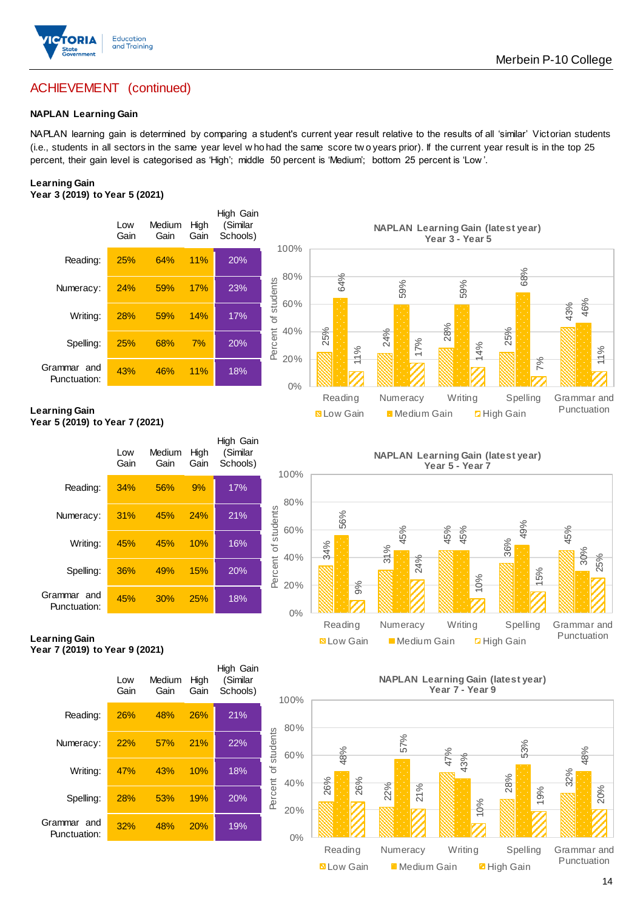

#### **NAPLAN Learning Gain**

NAPLAN learning gain is determined by comparing a student's current year result relative to the results of all 'similar' Victorian students (i.e., students in all sectors in the same year level w ho had the same score tw o years prior). If the current year result is in the top 25 percent, their gain level is categorised as 'High'; middle 50 percent is 'Medium'; bottom 25 percent is 'Low '.

## **Learning Gain**



#### **Learning Gain Year 5 (2019) to Year 7 (2021)**



## 45% 56% 45% 45% 49% 30% 9% 24% 10% 15% 25% 0% 20% 40% 60% 80% 100% Reading Numeracy Writing Spelling Grammar and **NAPLAN Learning Gain (latest year) Year 5 - Year 7** Low Gain Medium Gain High Gain 25% 24%28% 25%

**N** Low Gain **Medium Gain High Gain** 

**Learning Gain Year 7 (2019) to Year 9 (2021)**



**NAPLAN Learning Gain (latest year) Year 7 - Year 9**



Punctuation

11%

Punctuation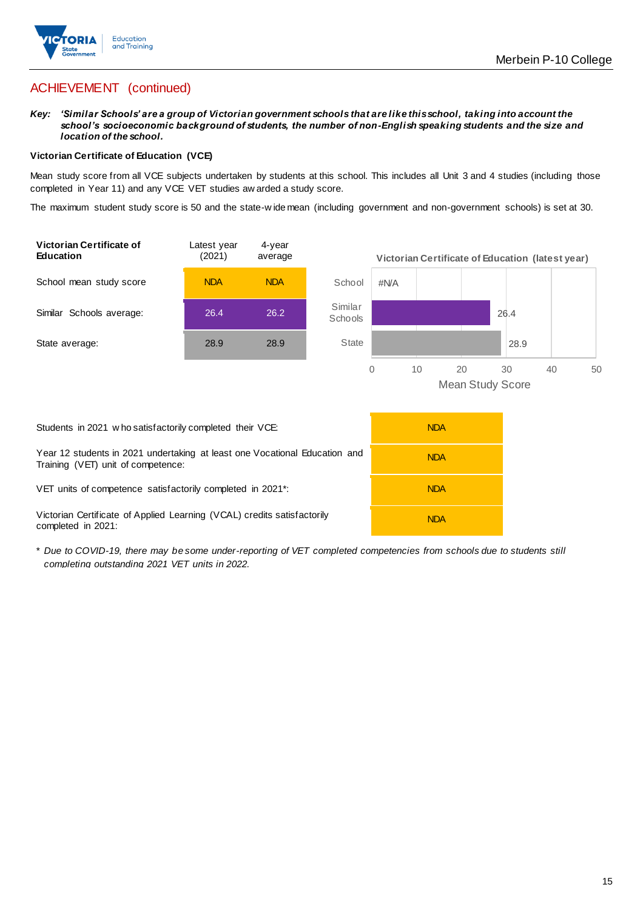

*Key: 'Similar Schools' are a group of Victorian government schools that are like this school, taking into account the school's socioeconomic background of students, the number of non-English speaking students and the size and location of the school.*

#### **Victorian Certificate of Education (VCE)**

Mean study score from all VCE subjects undertaken by students at this school. This includes all Unit 3 and 4 studies (including those completed in Year 11) and any VCE VET studies aw arded a study score.

The maximum student study score is 50 and the state-w ide mean (including government and non-government schools) is set at 30.



| Students in 2021 w ho satisfactorily completed their VCE:                                                        | <b>NDA</b> |
|------------------------------------------------------------------------------------------------------------------|------------|
| Year 12 students in 2021 undertaking at least one Vocational Education and<br>Training (VET) unit of competence: | <b>NDA</b> |
| VET units of competence satisfactorily completed in 2021 <sup>*</sup> :                                          | <b>NDA</b> |
| Victorian Certificate of Applied Learning (VCAL) credits satisfactorily<br>completed in 2021:                    | <b>NDA</b> |

\* *Due to COVID-19, there may be some under-reporting of VET completed competencies from schools due to students still completing outstanding 2021 VET units in 2022.*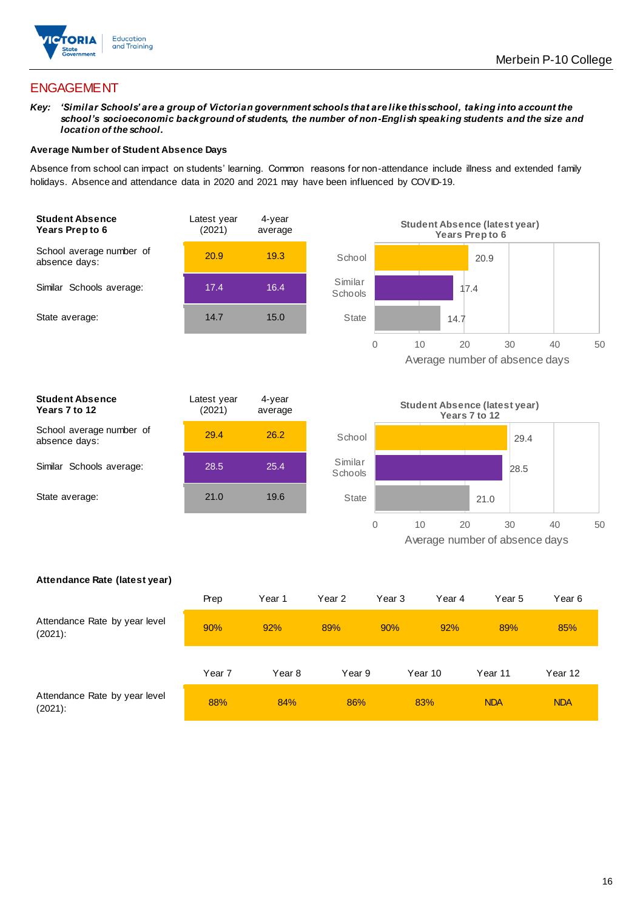

## ENGAGEMENT

*Key: 'Similar Schools' are a group of Victorian government schools that are like this school, taking into account the school's socioeconomic background of students, the number of non-English speaking students and the size and location of the school.*

#### **Average Number of Student Absence Days**

Absence from school can impact on students' learning. Common reasons for non-attendance include illness and extended family holidays. Absence and attendance data in 2020 and 2021 may have been influenced by COVID-19.





| <b>Student Absence</b><br>Years 7 to 12   | Latest year<br>(2021) | 4-year<br>average |
|-------------------------------------------|-----------------------|-------------------|
| School average number of<br>absence days: | 29.4                  | 26.2              |
| Similar Schools average:                  | 28.5                  | 25.4              |
| State average:                            | 21.0                  | 19.6              |
|                                           |                       |                   |



#### **Attendance Rate (latest year)**

|                                             | Prep              | Year 1 | Year 2 | Year 3 | Year 4  | Year 5     | Year 6     |
|---------------------------------------------|-------------------|--------|--------|--------|---------|------------|------------|
| Attendance Rate by year level<br>$(2021)$ : | 90%               | 92%    | 89%    | 90%    | 92%     | 89%        | 85%        |
|                                             | Year <sub>7</sub> | Year 8 | Year 9 |        | Year 10 | Year 11    | Year 12    |
| Attendance Rate by year level<br>$(2021)$ : | 88%               | 84%    | 86%    |        | 83%     | <b>NDA</b> | <b>NDA</b> |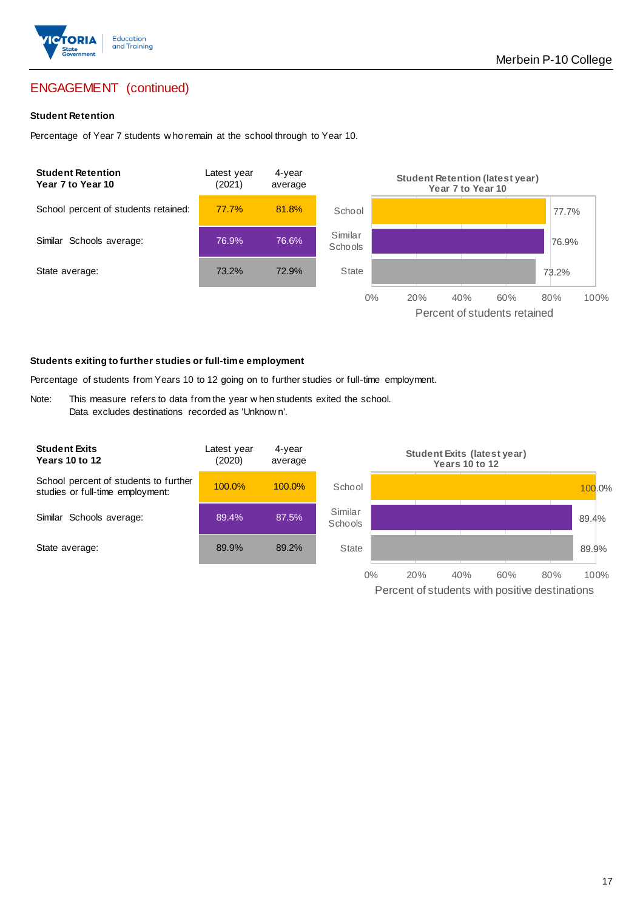

## ENGAGEMENT (continued)

#### **Student Retention**

Percentage of Year 7 students w ho remain at the school through to Year 10.



#### **Students exiting to further studies or full-time employment**

Percentage of students from Years 10 to 12 going on to further studies or full-time employment.

Note: This measure refers to data from the year w hen students exited the school. Data excludes destinations recorded as 'Unknow n'.

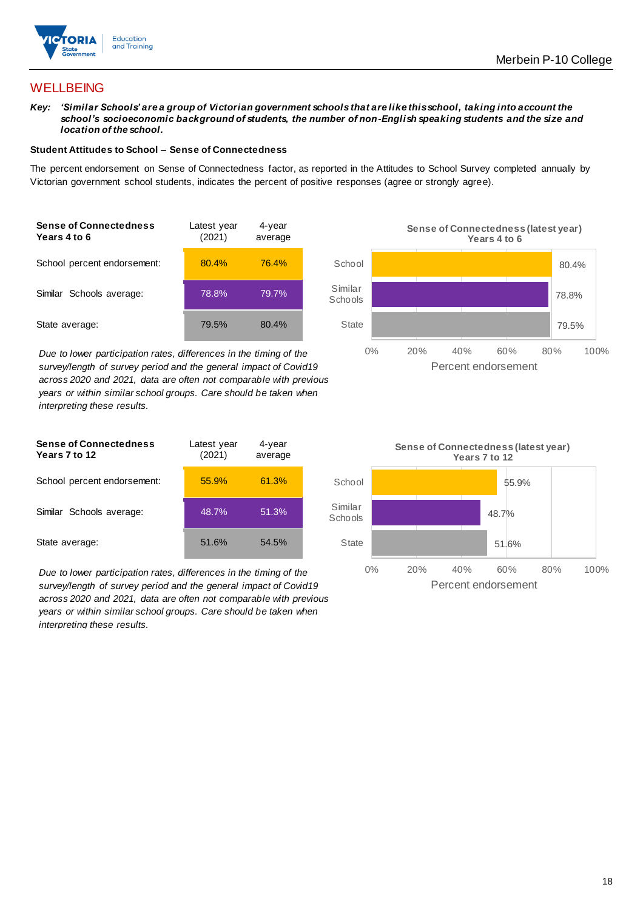

## **WELLBEING**

*Key: 'Similar Schools' are a group of Victorian government schools that are like this school, taking into account the school's socioeconomic background of students, the number of non-English speaking students and the size and location of the school.*

#### **Student Attitudes to School – Sense of Connectedness**

The percent endorsement on Sense of Connectedness factor, as reported in the Attitudes to School Survey completed annually by Victorian government school students, indicates the percent of positive responses (agree or strongly agree).



*Due to lower participation rates, differences in the timing of the survey/length of survey period and the general impact of Covid19 across 2020 and 2021, data are often not comparable with previous years or within similar school groups. Care should be taken when interpreting these results.*





*Due to lower participation rates, differences in the timing of the survey/length of survey period and the general impact of Covid19 across 2020 and 2021, data are often not comparable with previous years or within similar school groups. Care should be taken when interpreting these results.*

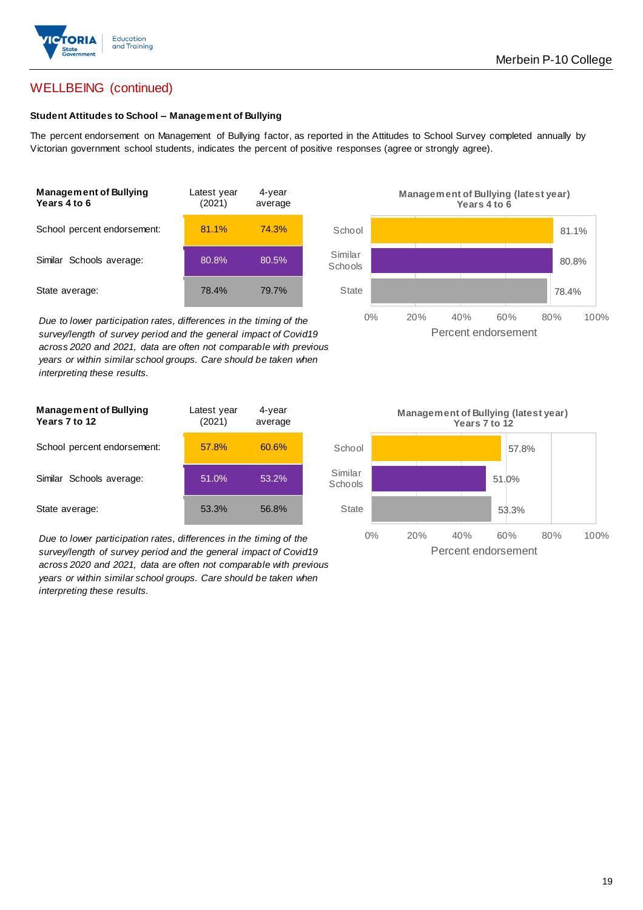

## WELLBEING (continued)

#### **Student Attitudes to School – Management of Bullying**

The percent endorsement on Management of Bullying factor, as reported in the Attitudes to School Survey completed annually by Victorian government school students, indicates the percent of positive responses (agree or strongly agree).

| <b>Management of Bullying</b><br>Years 4 to 6 | Latest year<br>(2021) | 4-year<br>average |  |
|-----------------------------------------------|-----------------------|-------------------|--|
| School percent endorsement:                   | 81.1%                 | 74.3%             |  |
| Similar Schools average:                      | 80.8%                 | 80.5%             |  |
| State average:                                | 78.4%                 | 79.7%             |  |

*Due to lower participation rates, differences in the timing of the survey/length of survey period and the general impact of Covid19 across 2020 and 2021, data are often not comparable with previous years or within similar school groups. Care should be taken when interpreting these results.*

| <b>Management of Bullying</b><br>Years 7 to 12 | Latest year<br>(2021) | $4$ -year<br>average |  |
|------------------------------------------------|-----------------------|----------------------|--|
| School percent endorsement:                    | 57.8%                 | 60.6%                |  |
| Similar Schools average:                       | 51.0%                 | 53.2%                |  |
| State average:                                 | 53.3%                 | 56.8%                |  |

*Due to lower participation rates, differences in the timing of the survey/length of survey period and the general impact of Covid19 across 2020 and 2021, data are often not comparable with previous years or within similar school groups. Care should be taken when interpreting these results.*



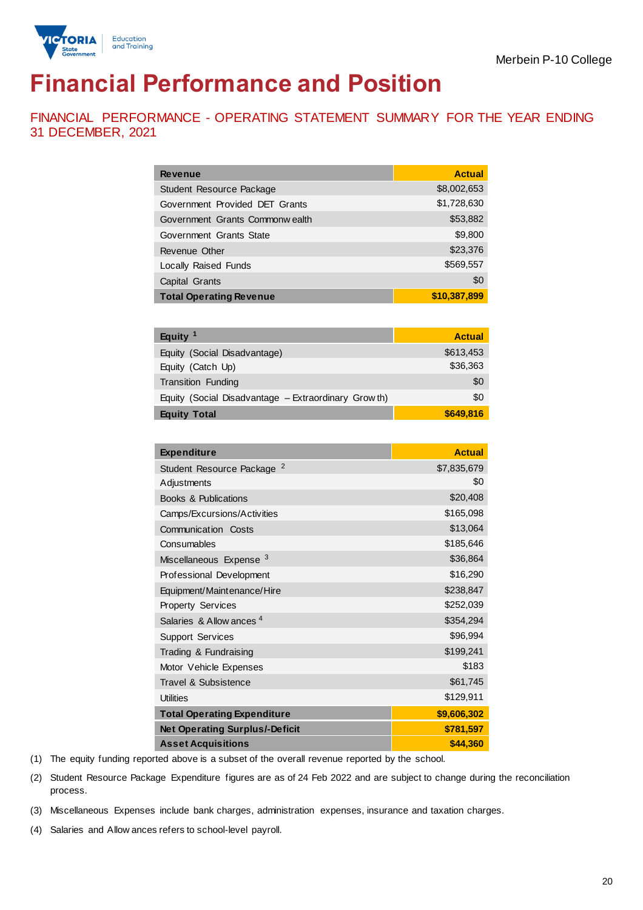

# **Financial Performance and Position**

FINANCIAL PERFORMANCE - OPERATING STATEMENT SUMMARY FOR THE YEAR ENDING 31 DECEMBER, 2021

| <b>Revenue</b>                 | <b>Actual</b> |
|--------------------------------|---------------|
| Student Resource Package       | \$8,002,653   |
| Government Provided DET Grants | \$1,728,630   |
| Government Grants Commonwealth | \$53,882      |
| Government Grants State        | \$9,800       |
| Revenue Other                  | \$23,376      |
| <b>Locally Raised Funds</b>    | \$569,557     |
| Capital Grants                 | \$0           |
| <b>Total Operating Revenue</b> | \$10,387,899  |

| Equity $1$                                          | <b>Actual</b> |
|-----------------------------------------------------|---------------|
| Equity (Social Disadvantage)                        | \$613,453     |
| Equity (Catch Up)                                   | \$36,363      |
| Transition Funding                                  | \$0           |
| Equity (Social Disadvantage - Extraordinary Growth) | \$0           |
| <b>Equity Total</b>                                 | \$649,816     |

| <b>Expenditure</b>                    | <b>Actual</b> |
|---------------------------------------|---------------|
| Student Resource Package <sup>2</sup> | \$7,835,679   |
| Adjustments                           | \$0           |
| <b>Books &amp; Publications</b>       | \$20,408      |
| Camps/Excursions/Activities           | \$165,098     |
| Communication Costs                   | \$13,064      |
| Consumables                           | \$185,646     |
| Miscellaneous Expense <sup>3</sup>    | \$36,864      |
| Professional Development              | \$16,290      |
| Equipment/Maintenance/Hire            | \$238,847     |
| <b>Property Services</b>              | \$252,039     |
| Salaries & Allow ances <sup>4</sup>   | \$354,294     |
| <b>Support Services</b>               | \$96,994      |
| Trading & Fundraising                 | \$199,241     |
| Motor Vehicle Expenses                | \$183         |
| Travel & Subsistence                  | \$61,745      |
| <b>Utilities</b>                      | \$129,911     |
| <b>Total Operating Expenditure</b>    | \$9,606,302   |
| <b>Net Operating Surplus/-Deficit</b> | \$781,597     |
| <b>Asset Acquisitions</b>             | \$44,360      |

(1) The equity funding reported above is a subset of the overall revenue reported by the school.

(2) Student Resource Package Expenditure figures are as of 24 Feb 2022 and are subject to change during the reconciliation process.

(3) Miscellaneous Expenses include bank charges, administration expenses, insurance and taxation charges.

(4) Salaries and Allow ances refers to school-level payroll.